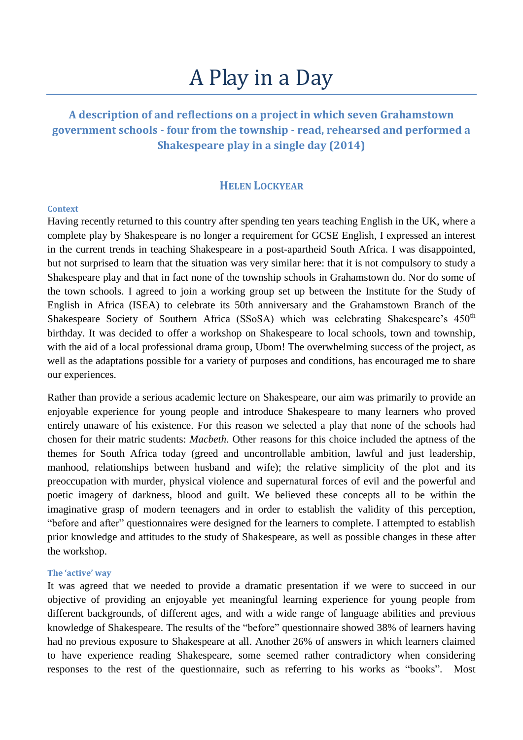# A Play in a Day

# **A description of and reflections on a project in which seven Grahamstown government schools - four from the township - read, rehearsed and performed a Shakespeare play in a single day (2014)**

### **HELEN LOCKYEAR**

#### **Context**

Having recently returned to this country after spending ten years teaching English in the UK, where a complete play by Shakespeare is no longer a requirement for GCSE English, I expressed an interest in the current trends in teaching Shakespeare in a post-apartheid South Africa. I was disappointed, but not surprised to learn that the situation was very similar here: that it is not compulsory to study a Shakespeare play and that in fact none of the township schools in Grahamstown do. Nor do some of the town schools. I agreed to join a working group set up between the Institute for the Study of English in Africa (ISEA) to celebrate its 50th anniversary and the Grahamstown Branch of the Shakespeare Society of Southern Africa (SSoSA) which was celebrating Shakespeare's  $450<sup>th</sup>$ birthday. It was decided to offer a workshop on Shakespeare to local schools, town and township, with the aid of a local professional drama group, Ubom! The overwhelming success of the project, as well as the adaptations possible for a variety of purposes and conditions, has encouraged me to share our experiences.

Rather than provide a serious academic lecture on Shakespeare, our aim was primarily to provide an enjoyable experience for young people and introduce Shakespeare to many learners who proved entirely unaware of his existence. For this reason we selected a play that none of the schools had chosen for their matric students: *Macbeth*. Other reasons for this choice included the aptness of the themes for South Africa today (greed and uncontrollable ambition, lawful and just leadership, manhood, relationships between husband and wife); the relative simplicity of the plot and its preoccupation with murder, physical violence and supernatural forces of evil and the powerful and poetic imagery of darkness, blood and guilt. We believed these concepts all to be within the imaginative grasp of modern teenagers and in order to establish the validity of this perception, "before and after" questionnaires were designed for the learners to complete. I attempted to establish prior knowledge and attitudes to the study of Shakespeare, as well as possible changes in these after the workshop.

#### **The 'active' way**

It was agreed that we needed to provide a dramatic presentation if we were to succeed in our objective of providing an enjoyable yet meaningful learning experience for young people from different backgrounds, of different ages, and with a wide range of language abilities and previous knowledge of Shakespeare. The results of the "before" questionnaire showed 38% of learners having had no previous exposure to Shakespeare at all. Another 26% of answers in which learners claimed to have experience reading Shakespeare, some seemed rather contradictory when considering responses to the rest of the questionnaire, such as referring to his works as "books". Most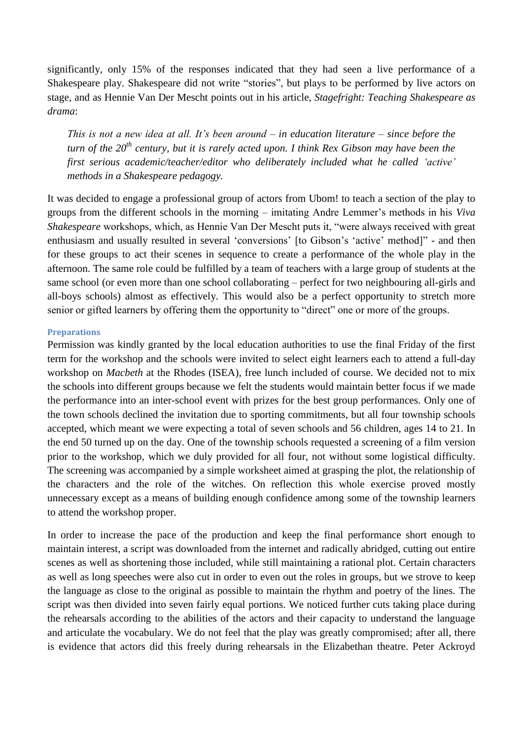significantly, only 15% of the responses indicated that they had seen a live performance of a Shakespeare play. Shakespeare did not write "stories", but plays to be performed by live actors on stage, and as Hennie Van Der Mescht points out in his article, *Stagefright: Teaching Shakespeare as drama*:

*This is not a new idea at all. It's been around – in education literature – since before the turn of the 20th century, but it is rarely acted upon. I think Rex Gibson may have been the first serious academic/teacher/editor who deliberately included what he called 'active' methods in a Shakespeare pedagogy.*

It was decided to engage a professional group of actors from Ubom! to teach a section of the play to groups from the different schools in the morning – imitating Andre Lemmer's methods in his *Viva Shakespeare* workshops, which, as Hennie Van Der Mescht puts it, "were always received with great enthusiasm and usually resulted in several 'conversions' [to Gibson's 'active' method]" - and then for these groups to act their scenes in sequence to create a performance of the whole play in the afternoon. The same role could be fulfilled by a team of teachers with a large group of students at the same school (or even more than one school collaborating – perfect for two neighbouring all-girls and all-boys schools) almost as effectively. This would also be a perfect opportunity to stretch more senior or gifted learners by offering them the opportunity to "direct" one or more of the groups.

#### **Preparations**

Permission was kindly granted by the local education authorities to use the final Friday of the first term for the workshop and the schools were invited to select eight learners each to attend a full-day workshop on *Macbeth* at the Rhodes (ISEA), free lunch included of course. We decided not to mix the schools into different groups because we felt the students would maintain better focus if we made the performance into an inter-school event with prizes for the best group performances. Only one of the town schools declined the invitation due to sporting commitments, but all four township schools accepted, which meant we were expecting a total of seven schools and 56 children, ages 14 to 21. In the end 50 turned up on the day. One of the township schools requested a screening of a film version prior to the workshop, which we duly provided for all four, not without some logistical difficulty. The screening was accompanied by a simple worksheet aimed at grasping the plot, the relationship of the characters and the role of the witches. On reflection this whole exercise proved mostly unnecessary except as a means of building enough confidence among some of the township learners to attend the workshop proper.

In order to increase the pace of the production and keep the final performance short enough to maintain interest, a script was downloaded from the internet and radically abridged, cutting out entire scenes as well as shortening those included, while still maintaining a rational plot. Certain characters as well as long speeches were also cut in order to even out the roles in groups, but we strove to keep the language as close to the original as possible to maintain the rhythm and poetry of the lines. The script was then divided into seven fairly equal portions. We noticed further cuts taking place during the rehearsals according to the abilities of the actors and their capacity to understand the language and articulate the vocabulary. We do not feel that the play was greatly compromised; after all, there is evidence that actors did this freely during rehearsals in the Elizabethan theatre. Peter Ackroyd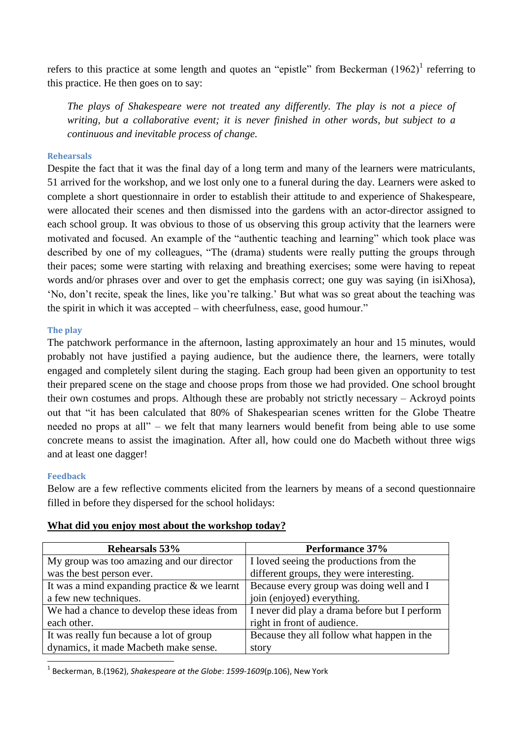refers to this practice at some length and quotes an "epistle" from Beckerman  $(1962)^1$  referring to this practice. He then goes on to say:

*The plays of Shakespeare were not treated any differently. The play is not a piece of writing, but a collaborative event; it is never finished in other words, but subject to a continuous and inevitable process of change.*

#### **Rehearsals**

Despite the fact that it was the final day of a long term and many of the learners were matriculants, 51 arrived for the workshop, and we lost only one to a funeral during the day. Learners were asked to complete a short questionnaire in order to establish their attitude to and experience of Shakespeare, were allocated their scenes and then dismissed into the gardens with an actor-director assigned to each school group. It was obvious to those of us observing this group activity that the learners were motivated and focused. An example of the "authentic teaching and learning" which took place was described by one of my colleagues, "The (drama) students were really putting the groups through their paces; some were starting with relaxing and breathing exercises; some were having to repeat words and/or phrases over and over to get the emphasis correct; one guy was saying (in isiXhosa), 'No, don't recite, speak the lines, like you're talking.' But what was so great about the teaching was the spirit in which it was accepted – with cheerfulness, ease, good humour."

#### **The play**

The patchwork performance in the afternoon, lasting approximately an hour and 15 minutes, would probably not have justified a paying audience, but the audience there, the learners, were totally engaged and completely silent during the staging. Each group had been given an opportunity to test their prepared scene on the stage and choose props from those we had provided. One school brought their own costumes and props. Although these are probably not strictly necessary – Ackroyd points out that "it has been calculated that 80% of Shakespearian scenes written for the Globe Theatre needed no props at all" – we felt that many learners would benefit from being able to use some concrete means to assist the imagination. After all, how could one do Macbeth without three wigs and at least one dagger!

#### **Feedback**

Below are a few reflective comments elicited from the learners by means of a second questionnaire filled in before they dispersed for the school holidays:

| Rehearsals 53%                                  | Performance 37%                               |
|-------------------------------------------------|-----------------------------------------------|
| My group was too amazing and our director       | I loved seeing the productions from the       |
| was the best person ever.                       | different groups, they were interesting.      |
| It was a mind expanding practice $\&$ we learnt | Because every group was doing well and I      |
| a few new techniques.                           | join (enjoyed) everything.                    |
| We had a chance to develop these ideas from     | I never did play a drama before but I perform |
| each other.                                     | right in front of audience.                   |
| It was really fun because a lot of group        | Because they all follow what happen in the    |
| dynamics, it made Macbeth make sense.           | story                                         |

#### **What did you enjoy most about the workshop today?**

**.** 1 Beckerman, B.(1962), *Shakespeare at the Globe*: *1599-1609*(p.106), New York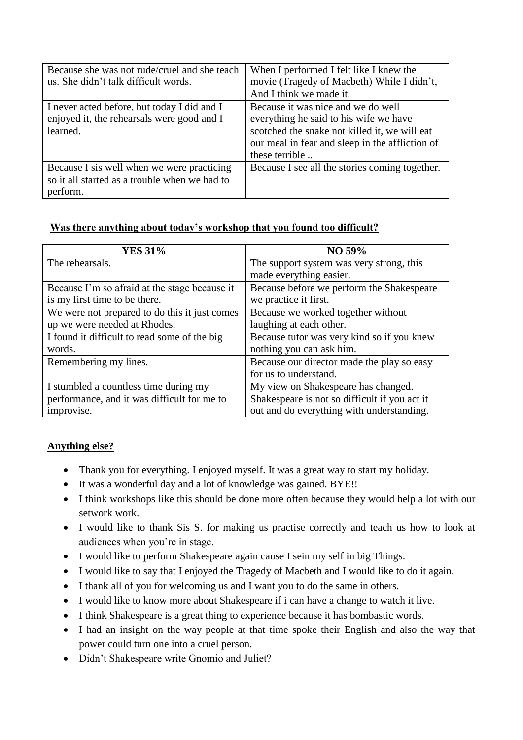| Because she was not rude/cruel and she teach<br>us. She didn't talk difficult words.                    | When I performed I felt like I knew the<br>movie (Tragedy of Macbeth) While I didn't,<br>And I think we made it.                                                                                   |
|---------------------------------------------------------------------------------------------------------|----------------------------------------------------------------------------------------------------------------------------------------------------------------------------------------------------|
| I never acted before, but today I did and I<br>enjoyed it, the rehearsals were good and I<br>learned.   | Because it was nice and we do well<br>everything he said to his wife we have<br>scotched the snake not killed it, we will eat<br>our meal in fear and sleep in the affliction of<br>these terrible |
| Because I sis well when we were practicing<br>so it all started as a trouble when we had to<br>perform. | Because I see all the stories coming together.                                                                                                                                                     |

## **Was there anything about today's workshop that you found too difficult?**

| <b>YES 31%</b>                                | NO 59%                                        |
|-----------------------------------------------|-----------------------------------------------|
| The rehearsals.                               | The support system was very strong, this      |
|                                               | made everything easier.                       |
| Because I'm so afraid at the stage because it | Because before we perform the Shakespeare     |
| is my first time to be there.                 | we practice it first.                         |
| We were not prepared to do this it just comes | Because we worked together without            |
| up we were needed at Rhodes.                  | laughing at each other.                       |
| I found it difficult to read some of the big  | Because tutor was very kind so if you knew    |
| words.                                        | nothing you can ask him.                      |
| Remembering my lines.                         | Because our director made the play so easy    |
|                                               | for us to understand.                         |
| I stumbled a countless time during my         | My view on Shakespeare has changed.           |
| performance, and it was difficult for me to   | Shakespeare is not so difficult if you act it |
| improvise.                                    | out and do everything with understanding.     |

# **Anything else?**

- Thank you for everything. I enjoyed myself. It was a great way to start my holiday.
- It was a wonderful day and a lot of knowledge was gained. BYE!!
- I think workshops like this should be done more often because they would help a lot with our setwork work.
- I would like to thank Sis S. for making us practise correctly and teach us how to look at audiences when you're in stage.
- I would like to perform Shakespeare again cause I sein my self in big Things.
- I would like to say that I enjoyed the Tragedy of Macbeth and I would like to do it again.
- I thank all of you for welcoming us and I want you to do the same in others.
- I would like to know more about Shakespeare if i can have a change to watch it live.
- I think Shakespeare is a great thing to experience because it has bombastic words.
- I had an insight on the way people at that time spoke their English and also the way that power could turn one into a cruel person.
- Didn't Shakespeare write Gnomio and Juliet?